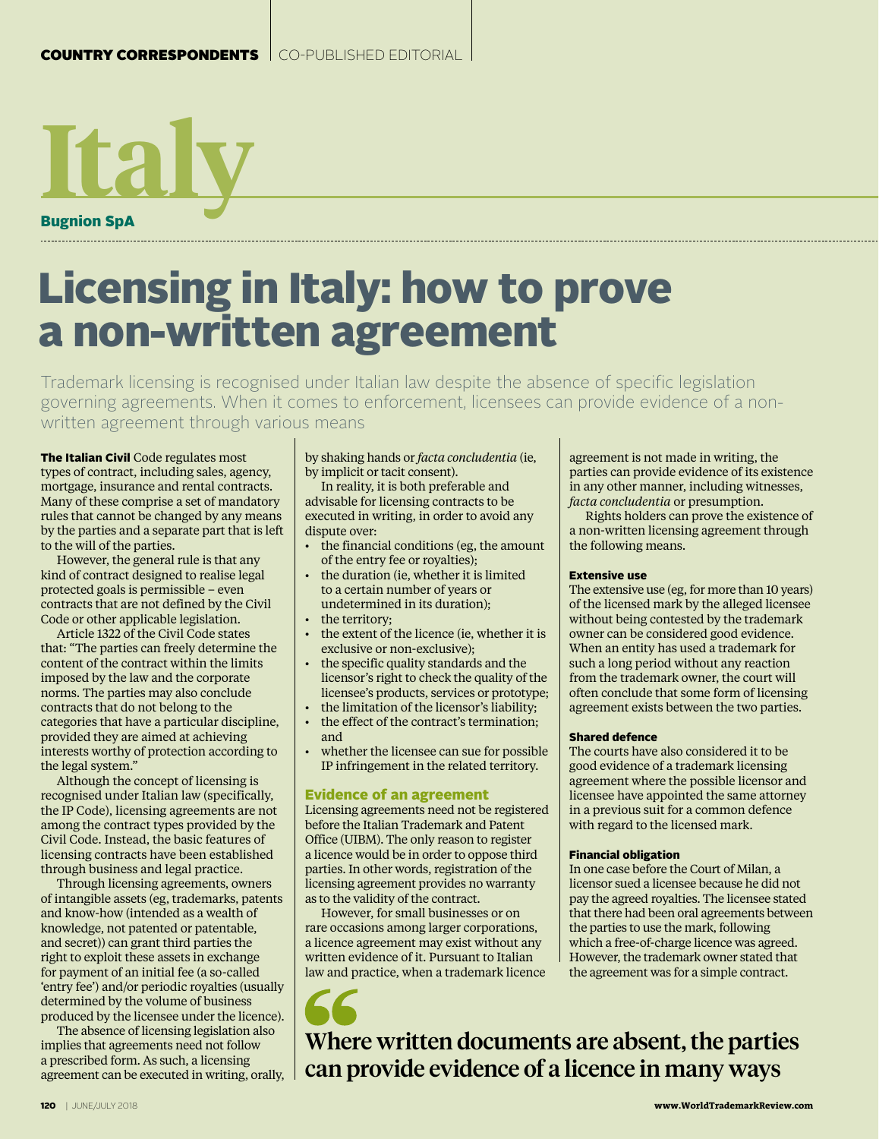# **Italy** Bugnion SpA

# Licensing in Italy: how to prove a non-written agreement

Trademark licensing is recognised under Italian law despite the absence of specific legislation governing agreements. When it comes to enforcement, licensees can provide evidence of a nonwritten agreement through various means

The Italian Civil Code regulates most types of contract, including sales, agency, mortgage, insurance and rental contracts. Many of these comprise a set of mandatory rules that cannot be changed by any means by the parties and a separate part that is left to the will of the parties.

However, the general rule is that any kind of contract designed to realise legal protected goals is permissible – even contracts that are not defined by the Civil Code or other applicable legislation.

Article 1322 of the Civil Code states that: "The parties can freely determine the content of the contract within the limits imposed by the law and the corporate norms. The parties may also conclude contracts that do not belong to the categories that have a particular discipline, provided they are aimed at achieving interests worthy of protection according to the legal system.'

Although the concept of licensing is recognised under Italian law (specifically, the IP Code), licensing agreements are not among the contract types provided by the Civil Code. Instead, the basic features of licensing contracts have been established through business and legal practice.

Through licensing agreements, owners of intangible assets (eg, trademarks, patents and know-how (intended as a wealth of knowledge, not patented or patentable, and secret)) can grant third parties the right to exploit these assets in exchange for payment of an initial fee (a so-called 'entry fee') and/or periodic royalties (usually determined by the volume of business produced by the licensee under the licence).

The absence of licensing legislation also implies that agreements need not follow a prescribed form. As such, a licensing agreement can be executed in writing, orally, by shaking hands or *facta concludentia* (ie, by implicit or tacit consent).

In reality, it is both preferable and advisable for licensing contracts to be executed in writing, in order to avoid any dispute over:

- the financial conditions (eg, the amount of the entry fee or royalties);
- the duration (ie, whether it is limited to a certain number of years or undetermined in its duration);
- the territory:
- the extent of the licence (ie, whether it is exclusive or non-exclusive);
- the specific quality standards and the licensor's right to check the quality of the licensee's products, services or prototype;
- the limitation of the licensor's liability; the effect of the contract's termination;
- and whether the licensee can sue for possible IP infringement in the related territory.

# Evidence of an agreement

Licensing agreements need not be registered before the Italian Trademark and Patent Office (UIBM). The only reason to register a licence would be in order to oppose third parties. In other words, registration of the licensing agreement provides no warranty as to the validity of the contract.

However, for small businesses or on rare occasions among larger corporations, a licence agreement may exist without any written evidence of it. Pursuant to Italian law and practice, when a trademark licence

agreement is not made in writing, the parties can provide evidence of its existence in any other manner, including witnesses, *facta concludentia* or presumption.

Rights holders can prove the existence of a non-written licensing agreement through the following means.

#### Extensive use

The extensive use (eg, for more than 10 years) of the licensed mark by the alleged licensee without being contested by the trademark owner can be considered good evidence. When an entity has used a trademark for such a long period without any reaction from the trademark owner, the court will often conclude that some form of licensing agreement exists between the two parties.

# Shared defence

The courts have also considered it to be good evidence of a trademark licensing agreement where the possible licensor and licensee have appointed the same attorney in a previous suit for a common defence with regard to the licensed mark.

# Financial obligation

In one case before the Court of Milan, a licensor sued a licensee because he did not pay the agreed royalties. The licensee stated that there had been oral agreements between the parties to use the mark, following which a free-of-charge licence was agreed. However, the trademark owner stated that the agreement was for a simple contract.

Where written documents are absent, the parties can provide evidence of a licence in many ways